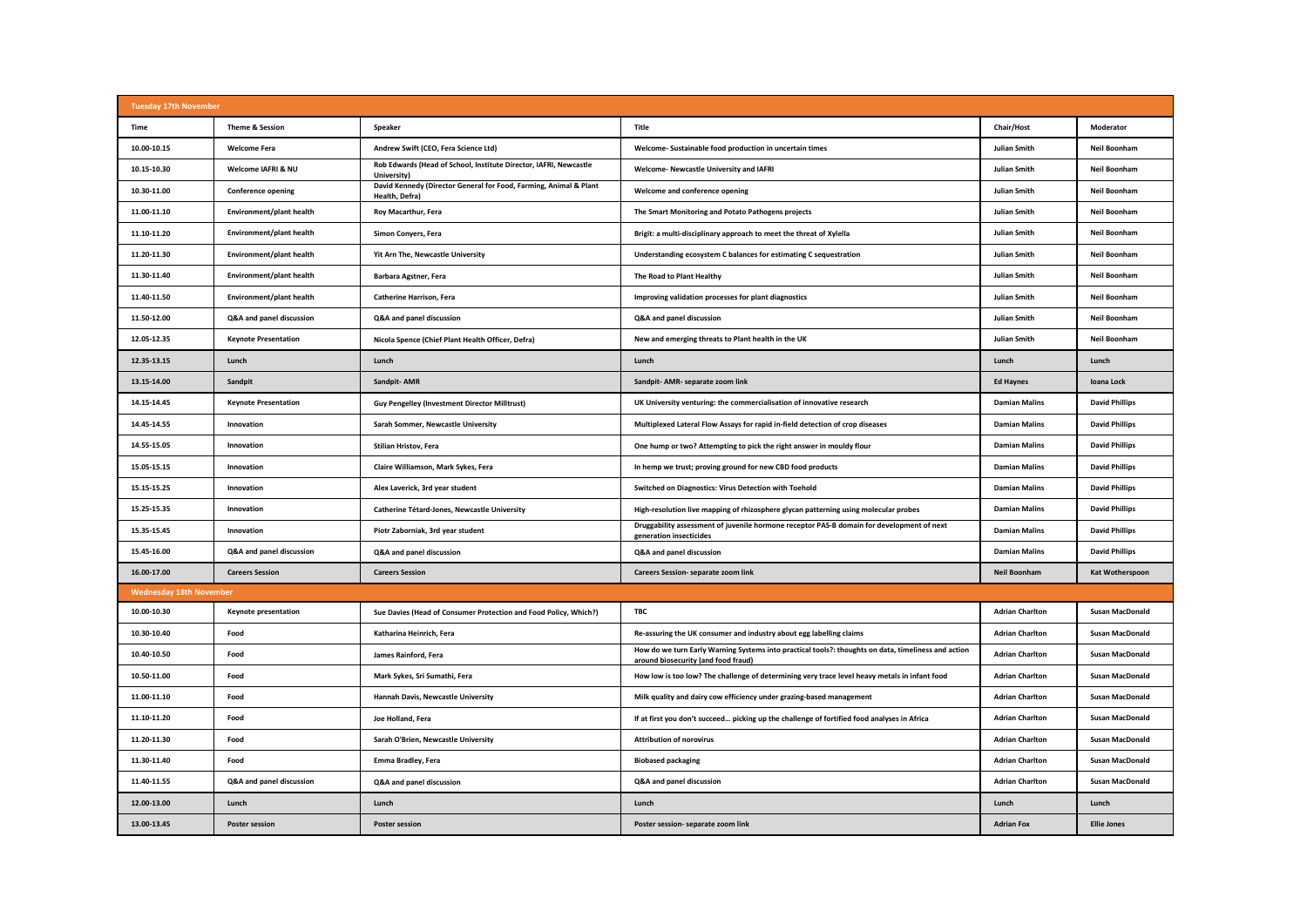| <b>Tuesday 17th November</b>   |                             |                                                                                     |                                                                                                                                            |                        |                        |  |  |  |  |
|--------------------------------|-----------------------------|-------------------------------------------------------------------------------------|--------------------------------------------------------------------------------------------------------------------------------------------|------------------------|------------------------|--|--|--|--|
| <b>Time</b>                    | Theme & Session             | Speaker                                                                             | Title                                                                                                                                      | Chair/Host             | Moderator              |  |  |  |  |
| 10.00-10.15                    | <b>Welcome Fera</b>         | Andrew Swift (CEO, Fera Science Ltd)                                                | Welcome- Sustainable food production in uncertain times                                                                                    | <b>Julian Smith</b>    | <b>Neil Boonham</b>    |  |  |  |  |
| 10.15-10.30                    | Welcome IAFRI & NU          | Rob Edwards (Head of School, Institute Director, IAFRI, Newcastle<br>University)    | Welcome- Newcastle University and IAFRI                                                                                                    | <b>Julian Smith</b>    | Neil Boonham           |  |  |  |  |
| 10.30-11.00                    | <b>Conference opening</b>   | David Kennedy (Director General for Food, Farming, Animal & Plant<br>Health, Defra) | Welcome and conference opening                                                                                                             | Julian Smith           | Neil Boonham           |  |  |  |  |
| 11.00-11.10                    | Environment/plant health    | Roy Macarthur, Fera                                                                 | The Smart Monitoring and Potato Pathogens projects                                                                                         | <b>Julian Smith</b>    | Neil Boonham           |  |  |  |  |
| 11.10-11.20                    | Environment/plant health    | Simon Conyers, Fera                                                                 | Brigit: a multi-disciplinary approach to meet the threat of Xylella                                                                        | <b>Julian Smith</b>    | Neil Boonham           |  |  |  |  |
| 11.20-11.30                    | Environment/plant health    | Yit Arn The, Newcastle University                                                   | Understanding ecosystem C balances for estimating C sequestration                                                                          | <b>Julian Smith</b>    | Neil Boonham           |  |  |  |  |
| 11.30-11.40                    | Environment/plant health    | Barbara Agstner, Fera                                                               | The Road to Plant Healthy                                                                                                                  | <b>Julian Smith</b>    | Neil Boonham           |  |  |  |  |
| 11.40-11.50                    | Environment/plant health    | <b>Catherine Harrison, Fera</b>                                                     | Improving validation processes for plant diagnostics                                                                                       | <b>Julian Smith</b>    | Neil Boonham           |  |  |  |  |
| 11.50-12.00                    | Q&A and panel discussion    | Q&A and panel discussion                                                            | Q&A and panel discussion                                                                                                                   | <b>Julian Smith</b>    | Neil Boonham           |  |  |  |  |
| 12.05-12.35                    | <b>Keynote Presentation</b> | Nicola Spence (Chief Plant Health Officer, Defra)                                   | New and emerging threats to Plant health in the UK                                                                                         | <b>Julian Smith</b>    | Neil Boonham           |  |  |  |  |
| 12.35-13.15                    | Lunch                       | Lunch                                                                               | Lunch                                                                                                                                      | Lunch                  | Lunch                  |  |  |  |  |
| 13.15-14.00                    | Sandpit                     | Sandpit-AMR                                                                         | Sandpit- AMR- separate zoom link                                                                                                           | <b>Ed Haynes</b>       | Ioana Lock             |  |  |  |  |
| 14.15-14.45                    | <b>Keynote Presentation</b> | <b>Guy Pengelley (Investment Director Milltrust)</b>                                | UK University venturing: the commercialisation of innovative research                                                                      | <b>Damian Malins</b>   | <b>David Phillips</b>  |  |  |  |  |
| 14.45-14.55                    | Innovation                  | Sarah Sommer, Newcastle University                                                  | Multiplexed Lateral Flow Assays for rapid in-field detection of crop diseases                                                              | <b>Damian Malins</b>   | <b>David Phillips</b>  |  |  |  |  |
| 14.55-15.05                    | Innovation                  | Stilian Hristov, Fera                                                               | One hump or two? Attempting to pick the right answer in mouldy flour                                                                       | <b>Damian Malins</b>   | <b>David Phillips</b>  |  |  |  |  |
| 15.05-15.15                    | Innovation                  | Claire Williamson, Mark Sykes, Fera                                                 | In hemp we trust; proving ground for new CBD food products                                                                                 | <b>Damian Malins</b>   | <b>David Phillips</b>  |  |  |  |  |
| 15.15-15.25                    | Innovation                  | Alex Laverick, 3rd year student                                                     | Switched on Diagnostics: Virus Detection with Toehold                                                                                      | <b>Damian Malins</b>   | <b>David Phillips</b>  |  |  |  |  |
| 15.25-15.35                    | Innovation                  | Catherine Tétard-Jones, Newcastle University                                        | High-resolution live mapping of rhizosphere glycan patterning using molecular probes                                                       | <b>Damian Malins</b>   | <b>David Phillips</b>  |  |  |  |  |
| 15.35-15.45                    | Innovation                  | Piotr Zaborniak, 3rd year student                                                   | Druggability assessment of juvenile hormone receptor PAS-B domain for development of next<br>generation insecticides                       | <b>Damian Malins</b>   | <b>David Phillips</b>  |  |  |  |  |
| 15.45-16.00                    | Q&A and panel discussion    | Q&A and panel discussion                                                            | Q&A and panel discussion                                                                                                                   | <b>Damian Malins</b>   | <b>David Phillips</b>  |  |  |  |  |
| 16.00-17.00                    | <b>Careers Session</b>      | <b>Careers Session</b>                                                              | Careers Session- separate zoom link                                                                                                        | <b>Neil Boonham</b>    | <b>Kat Wotherspoon</b> |  |  |  |  |
| <b>Wednesday 18th November</b> |                             |                                                                                     |                                                                                                                                            |                        |                        |  |  |  |  |
| 10.00-10.30                    | <b>Keynote presentation</b> | Sue Davies (Head of Consumer Protection and Food Policy, Which?)                    | <b>TBC</b>                                                                                                                                 | <b>Adrian Charlton</b> | <b>Susan MacDonald</b> |  |  |  |  |
| 10.30-10.40                    | Food                        | Katharina Heinrich, Fera                                                            | Re-assuring the UK consumer and industry about egg labelling claims                                                                        | <b>Adrian Charlton</b> | <b>Susan MacDonald</b> |  |  |  |  |
| 10.40-10.50                    | Food                        | James Rainford, Fera                                                                | How do we turn Early Warning Systems into practical tools?: thoughts on data, timeliness and action<br>around biosecurity (and food fraud) | <b>Adrian Charlton</b> | <b>Susan MacDonald</b> |  |  |  |  |
| 10.50-11.00                    | Food                        | Mark Sykes, Sri Sumathi, Fera                                                       | How low is too low? The challenge of determining very trace level heavy metals in infant food                                              | <b>Adrian Charlton</b> | <b>Susan MacDonald</b> |  |  |  |  |
| 11.00-11.10                    | Food                        | Hannah Davis, Newcastle University                                                  | Milk quality and dairy cow efficiency under grazing-based management                                                                       | <b>Adrian Charlton</b> | <b>Susan MacDonald</b> |  |  |  |  |
| 11.10-11.20                    | Food                        | Joe Holland, Fera                                                                   | If at first you don't succeed picking up the challenge of fortified food analyses in Africa                                                | <b>Adrian Charlton</b> | <b>Susan MacDonald</b> |  |  |  |  |
| 11.20-11.30                    | Food                        | Sarah O'Brien, Newcastle University                                                 | <b>Attribution of norovirus</b>                                                                                                            | <b>Adrian Charlton</b> | <b>Susan MacDonald</b> |  |  |  |  |
| 11.30-11.40                    | Food                        | Emma Bradley, Fera                                                                  | <b>Biobased packaging</b>                                                                                                                  | <b>Adrian Charlton</b> | <b>Susan MacDonald</b> |  |  |  |  |
| 11.40-11.55                    | Q&A and panel discussion    | Q&A and panel discussion                                                            | Q&A and panel discussion                                                                                                                   | <b>Adrian Charlton</b> | <b>Susan MacDonald</b> |  |  |  |  |
| 12.00-13.00                    | Lunch                       | Lunch                                                                               | Lunch                                                                                                                                      | Lunch                  | Lunch                  |  |  |  |  |
| 13.00-13.45                    | <b>Poster session</b>       | <b>Poster session</b>                                                               | Poster session- separate zoom link                                                                                                         | <b>Adrian Fox</b>      | <b>Ellie Jones</b>     |  |  |  |  |